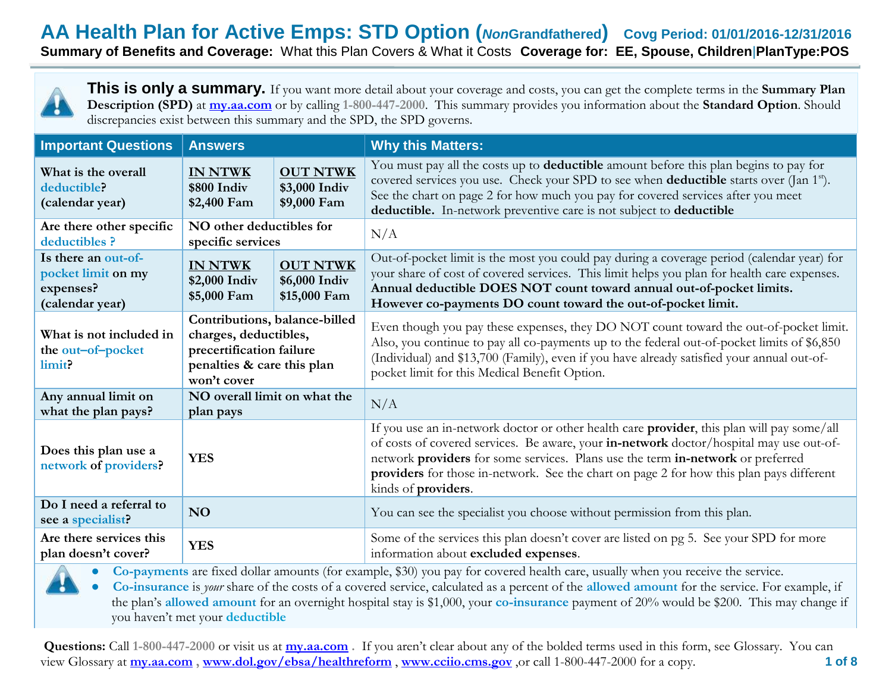**This is only a summary.** If you want more detail about your coverage and costs, you can get the complete terms in the **Summary Plan Description (SPD)** at **[my.aa.com](http://www.my.aa.com/)** or by calling **1-800-447-2000**. This summary provides you information about the **Standard Option**. Should discrepancies exist between this summary and the SPD, the SPD governs.

| <b>Important Questions</b>                                                | <b>Answers</b>                                                                                                                  |                                                  | <b>Why this Matters:</b>                                                                                                                                                                                                                                                                                                                                              |  |
|---------------------------------------------------------------------------|---------------------------------------------------------------------------------------------------------------------------------|--------------------------------------------------|-----------------------------------------------------------------------------------------------------------------------------------------------------------------------------------------------------------------------------------------------------------------------------------------------------------------------------------------------------------------------|--|
| What is the overall<br>deductible?<br>(calendar year)                     | <b>IN NTWK</b><br>\$800 Indiv<br>\$2,400 Fam                                                                                    | <b>OUT NTWK</b><br>\$3,000 Indiv<br>\$9,000 Fam  | You must pay all the costs up to <b>deductible</b> amount before this plan begins to pay for<br>covered services you use. Check your SPD to see when <b>deductible</b> starts over (Jan 1 <sup>st</sup> ).<br>See the chart on page 2 for how much you pay for covered services after you meet<br>deductible. In-network preventive care is not subject to deductible |  |
| Are there other specific<br>deductibles ?                                 | NO other deductibles for<br>specific services                                                                                   |                                                  | N/A                                                                                                                                                                                                                                                                                                                                                                   |  |
| Is there an out-of-<br>pocket limit on my<br>expenses?<br>(calendar year) | <b>IN NTWK</b><br>\$2,000 Indiv<br>\$5,000 Fam                                                                                  | <b>OUT NTWK</b><br>\$6,000 Indiv<br>\$15,000 Fam | Out-of-pocket limit is the most you could pay during a coverage period (calendar year) for<br>your share of cost of covered services. This limit helps you plan for health care expenses.<br>Annual deductible DOES NOT count toward annual out-of-pocket limits.<br>However co-payments DO count toward the out-of-pocket limit.                                     |  |
| What is not included in<br>the out-of-pocket<br>limit?                    | Contributions, balance-billed<br>charges, deductibles,<br>precertification failure<br>penalties & care this plan<br>won't cover |                                                  | Even though you pay these expenses, they DO NOT count toward the out-of-pocket limit.<br>Also, you continue to pay all co-payments up to the federal out-of-pocket limits of \$6,850<br>(Individual) and \$13,700 (Family), even if you have already satisfied your annual out-of-<br>pocket limit for this Medical Benefit Option.                                   |  |
| Any annual limit on<br>what the plan pays?                                | NO overall limit on what the<br>plan pays                                                                                       |                                                  | N/A                                                                                                                                                                                                                                                                                                                                                                   |  |
| Does this plan use a<br>network of providers?                             | <b>YES</b>                                                                                                                      |                                                  | If you use an in-network doctor or other health care provider, this plan will pay some/all<br>of costs of covered services. Be aware, your in-network doctor/hospital may use out-of-<br>network providers for some services. Plans use the term in-network or preferred<br>providers for those in-network. See the chart on page 2 for how this plan pays different  |  |
| Do I need a referral to<br>see a specialist?                              | NO                                                                                                                              |                                                  | You can see the specialist you choose without permission from this plan.                                                                                                                                                                                                                                                                                              |  |
| Are there services this<br>plan doesn't cover?                            | <b>YES</b>                                                                                                                      |                                                  | Some of the services this plan doesn't cover are listed on pg 5. See your SPD for more<br>information about excluded expenses.                                                                                                                                                                                                                                        |  |
|                                                                           | $C = 1, 1, 11$                                                                                                                  | $\sqrt{2}$                                       | kinds of providers.<br>$\mathbf{1}$ $\mathbf{1}$ $\mathbf{1}$ $\mathbf{1}$ $\mathbf{1}$<br>$\mathbf{11}$ $\mathbf{1}$                                                                                                                                                                                                                                                 |  |

**● Co-payments** are fixed dollar amounts (for example, \$30) you pay for covered health care, usually when you receive the service.

**● Co-insurance** is *your* share of the costs of a covered service, calculated as a percent of the **allowed amount** for the service. For example, if the plan's **allowed amount** for an overnight hospital stay is \$1,000, your **co-insurance** payment of 20% would be \$200. This may change if you haven't met your **deductible**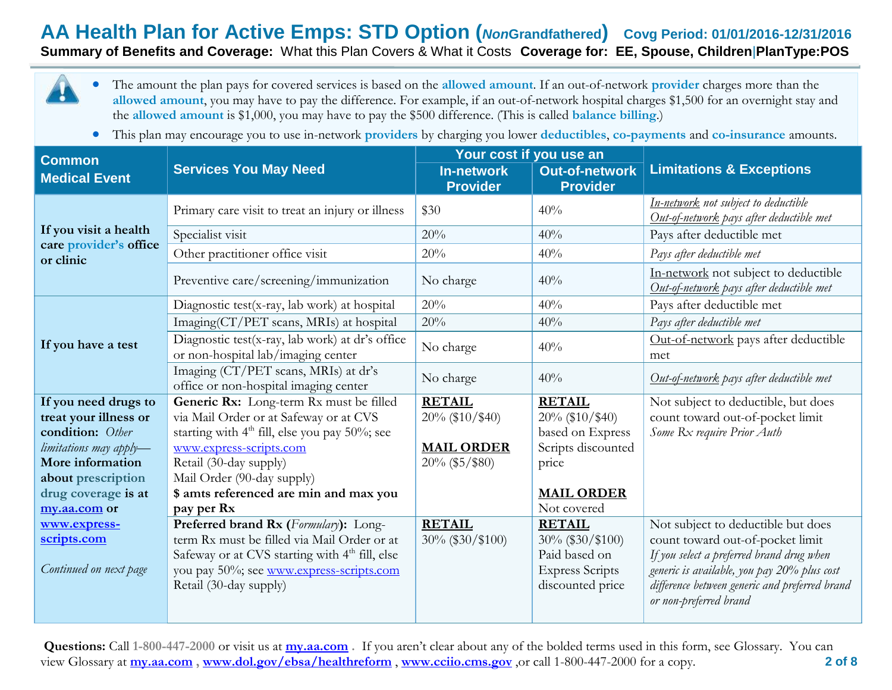**AA Health Plan for Active Emps: STD Option (***Non***Grandfathered) Covg Period: 01/01/2016-12/31/2016**

**Summary of Benefits and Coverage:** What this Plan Covers & What it Costs **Coverage for: EE, Spouse, Children**|**PlanType:POS**

- The amount the plan pays for covered services is based on the **allowed amount**. If an out-of-network **provider** charges more than the **allowed amount**, you may have to pay the difference. For example, if an out-of-network hospital charges \$1,500 for an overnight stay and the **allowed amount** is \$1,000, you may have to pay the \$500 difference. (This is called **balance billing**.)
	- This plan may encourage you to use in-network **providers** by charging you lower **deductibles**, **co-payments** and **co-insurance** amounts.

| <b>Common</b>                              |                                                                                       | Your cost if you use an                |                                          |                                                                                  |  |
|--------------------------------------------|---------------------------------------------------------------------------------------|----------------------------------------|------------------------------------------|----------------------------------------------------------------------------------|--|
| <b>Medical Event</b>                       | <b>Services You May Need</b>                                                          | <b>In-network</b><br><b>Provider</b>   | <b>Out-of-network</b><br><b>Provider</b> | <b>Limitations &amp; Exceptions</b>                                              |  |
|                                            | Primary care visit to treat an injury or illness                                      | \$30                                   | 40%                                      | In-network not subject to deductible<br>Out-of-network pays after deductible met |  |
| If you visit a health                      | Specialist visit                                                                      | 20%                                    | 40%                                      | Pays after deductible met                                                        |  |
| care provider's office<br>or clinic        | Other practitioner office visit                                                       | 20%                                    | 40%                                      | Pays after deductible met                                                        |  |
|                                            | Preventive care/screening/immunization                                                | No charge                              | 40%                                      | In-network not subject to deductible<br>Out-of-network pays after deductible met |  |
|                                            | Diagnostic test(x-ray, lab work) at hospital                                          | 20%                                    | 40%                                      | Pays after deductible met                                                        |  |
|                                            | Imaging(CT/PET scans, MRIs) at hospital                                               | 20%                                    | 40%                                      | Pays after deductible met                                                        |  |
| If you have a test                         | Diagnostic test(x-ray, lab work) at dr's office<br>or non-hospital lab/imaging center | No charge                              | 40%                                      | Out-of-network pays after deductible<br>met                                      |  |
|                                            | Imaging (CT/PET scans, MRIs) at dr's<br>office or non-hospital imaging center         | No charge                              | 40%                                      | Out-of-network pays after deductible met                                         |  |
| If you need drugs to                       | Generic Rx: Long-term Rx must be filled                                               | <b>RETAIL</b>                          | <b>RETAIL</b>                            | Not subject to deductible, but does                                              |  |
| treat your illness or                      | via Mail Order or at Safeway or at CVS                                                | 20% (\$10/\$40)                        | $20\%$ (\$10/\$40)                       | count toward out-of-pocket limit                                                 |  |
| condition: Other                           | starting with $4th$ fill, else you pay 50%; see                                       |                                        | based on Express                         | Some Rx require Prior Auth                                                       |  |
| limitations may apply-<br>More information | www.express-scripts.com<br>Retail (30-day supply)                                     | <b>MAIL ORDER</b><br>$20\%$ (\$5/\$80) | Scripts discounted                       |                                                                                  |  |
| about prescription                         | Mail Order (90-day supply)                                                            |                                        | price                                    |                                                                                  |  |
| drug coverage is at                        | \$ amts referenced are min and max you                                                |                                        | <b>MAIL ORDER</b>                        |                                                                                  |  |
| my.aa.com or                               | pay per Rx                                                                            |                                        | Not covered                              |                                                                                  |  |
| www.express-                               | Preferred brand Rx (Formulary): Long-                                                 | <b>RETAIL</b>                          | <b>RETAIL</b>                            | Not subject to deductible but does                                               |  |
| scripts.com                                | term Rx must be filled via Mail Order or at                                           | $30\%$ (\$30/\$100)                    | $30\%$ (\$30/\$100)                      | count toward out-of-pocket limit                                                 |  |
|                                            | Safeway or at CVS starting with 4 <sup>th</sup> fill, else                            |                                        | Paid based on                            | If you select a preferred brand drug when                                        |  |
| Continued on next page                     | you pay 50%; see www.express-scripts.com                                              |                                        | <b>Express Scripts</b>                   | generic is available, you pay 20% plus cost                                      |  |
|                                            | Retail (30-day supply)                                                                |                                        | discounted price                         | difference between generic and preferred brand<br>or non-preferred brand         |  |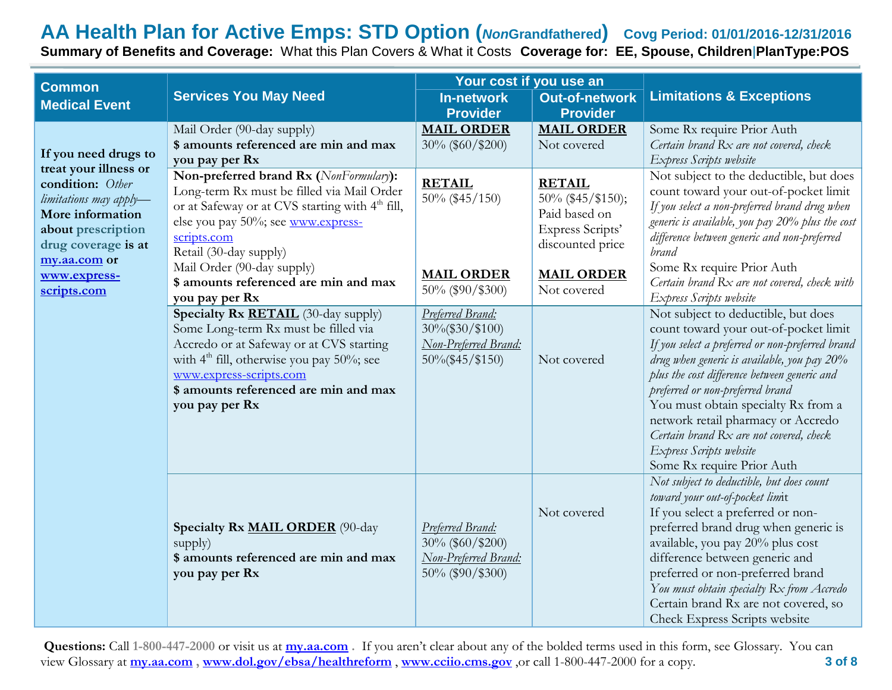| <b>Common</b>                                                                                                                                                                                               |                                                                                                                                                                                                                                                              | Your cost if you use an                                                            |                                                                                             |                                                                                                                                                                                                                                                                                                                                                                                                                                                      |
|-------------------------------------------------------------------------------------------------------------------------------------------------------------------------------------------------------------|--------------------------------------------------------------------------------------------------------------------------------------------------------------------------------------------------------------------------------------------------------------|------------------------------------------------------------------------------------|---------------------------------------------------------------------------------------------|------------------------------------------------------------------------------------------------------------------------------------------------------------------------------------------------------------------------------------------------------------------------------------------------------------------------------------------------------------------------------------------------------------------------------------------------------|
| <b>Medical Event</b>                                                                                                                                                                                        | <b>Services You May Need</b>                                                                                                                                                                                                                                 | <b>In-network</b><br><b>Provider</b>                                               | <b>Out-of-network</b><br><b>Provider</b>                                                    | <b>Limitations &amp; Exceptions</b>                                                                                                                                                                                                                                                                                                                                                                                                                  |
| If you need drugs to<br>treat your illness or<br>condition: Other<br>limitations may apply-<br>More information<br>about prescription<br>drug coverage is at<br>my.aa.com or<br>www.express-<br>scripts.com | Mail Order (90-day supply)<br>\$ amounts referenced are min and max<br>you pay per Rx                                                                                                                                                                        | <b>MAIL ORDER</b><br>30% (\$60/\$200)                                              | <b>MAIL ORDER</b><br>Not covered                                                            | Some Rx require Prior Auth<br>Certain brand Rx are not covered, check<br>Express Scripts website                                                                                                                                                                                                                                                                                                                                                     |
|                                                                                                                                                                                                             | Non-preferred brand Rx (NonFormulary):<br>Long-term Rx must be filled via Mail Order<br>or at Safeway or at CVS starting with 4 <sup>th</sup> fill,<br>else you pay 50%; see www.express-<br>scripts.com<br>Retail (30-day supply)                           | <b>RETAIL</b><br>50% (\$45/150)                                                    | <b>RETAIL</b><br>50% (\$45/\$150);<br>Paid based on<br>Express Scripts'<br>discounted price | Not subject to the deductible, but does<br>count toward your out-of-pocket limit<br>If you select a non-preferred brand drug when<br>generic is available, you pay 20% plus the cost<br>difference between generic and non-preferred<br>brand                                                                                                                                                                                                        |
|                                                                                                                                                                                                             | Mail Order (90-day supply)<br>\$ amounts referenced are min and max<br>you pay per Rx                                                                                                                                                                        | <b>MAIL ORDER</b><br>50% (\$90/\$300)                                              | <b>MAIL ORDER</b><br>Not covered                                                            | Some Rx require Prior Auth<br>Certain brand Rx are not covered, check with<br>Express Scripts website                                                                                                                                                                                                                                                                                                                                                |
|                                                                                                                                                                                                             | Specialty Rx RETAIL (30-day supply)<br>Some Long-term Rx must be filled via<br>Accredo or at Safeway or at CVS starting<br>with $4th$ fill, otherwise you pay 50%; see<br>www.express-scripts.com<br>\$ amounts referenced are min and max<br>you pay per Rx | Preferred Brand:<br>30%(\$30/\$100)<br>Non-Preferred Brand:<br>$50\%$ (\$45/\$150) | Not covered                                                                                 | Not subject to deductible, but does<br>count toward your out-of-pocket limit<br>If you select a preferred or non-preferred brand<br>drug when generic is available, you pay 20%<br>plus the cost difference between generic and<br>preferred or non-preferred brand<br>You must obtain specialty Rx from a<br>network retail pharmacy or Accredo<br>Certain brand Rx are not covered, check<br>Express Scripts website<br>Some Rx require Prior Auth |
|                                                                                                                                                                                                             | Specialty Rx MAIL ORDER (90-day<br>supply)<br>\$ amounts referenced are min and max<br>you pay per Rx                                                                                                                                                        | Preferred Brand:<br>30% (\$60/\$200)<br>Non-Preferred Brand:<br>50% (\$90/\$300)   | Not covered                                                                                 | Not subject to deductible, but does count<br>toward your out-of-pocket limit<br>If you select a preferred or non-<br>preferred brand drug when generic is<br>available, you pay 20% plus cost<br>difference between generic and<br>preferred or non-preferred brand<br>You must obtain specialty Rx from Accredo<br>Certain brand Rx are not covered, so<br>Check Express Scripts website                                                            |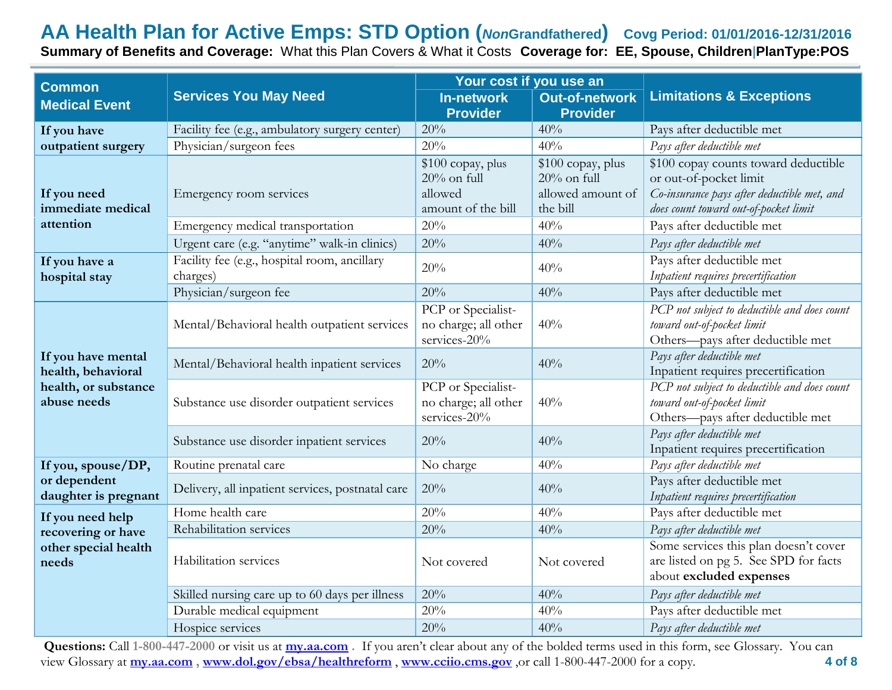| <b>Common</b>                                                                   |                                                          | Your cost if you use an                                              |                                                                      |                                                                                                                                                        |
|---------------------------------------------------------------------------------|----------------------------------------------------------|----------------------------------------------------------------------|----------------------------------------------------------------------|--------------------------------------------------------------------------------------------------------------------------------------------------------|
| <b>Medical Event</b>                                                            | <b>Services You May Need</b>                             | <b>In-network</b><br><b>Provider</b>                                 | <b>Out-of-network</b><br><b>Provider</b>                             | <b>Limitations &amp; Exceptions</b>                                                                                                                    |
| If you have                                                                     | Facility fee (e.g., ambulatory surgery center)           | 20%                                                                  | 40%                                                                  | Pays after deductible met                                                                                                                              |
| outpatient surgery                                                              | Physician/surgeon fees                                   | 20%                                                                  | 40%                                                                  | Pays after deductible met                                                                                                                              |
| If you need<br>immediate medical                                                | Emergency room services                                  | \$100 copay, plus<br>$20\%$ on full<br>allowed<br>amount of the bill | \$100 copay, plus<br>$20\%$ on full<br>allowed amount of<br>the bill | \$100 copay counts toward deductible<br>or out-of-pocket limit<br>Co-insurance pays after deductible met, and<br>does count toward out-of-pocket limit |
| attention                                                                       | Emergency medical transportation                         | 20%                                                                  | 40%                                                                  | Pays after deductible met                                                                                                                              |
|                                                                                 | Urgent care (e.g. "anytime" walk-in clinics)             | 20%                                                                  | 40%                                                                  | Pays after deductible met                                                                                                                              |
| If you have a<br>hospital stay                                                  | Facility fee (e.g., hospital room, ancillary<br>charges) | 20%                                                                  | 40%                                                                  | Pays after deductible met<br>Inpatient requires precertification                                                                                       |
|                                                                                 | Physician/surgeon fee                                    | 20%                                                                  | 40%                                                                  | Pays after deductible met                                                                                                                              |
| If you have mental<br>health, behavioral<br>health, or substance<br>abuse needs | Mental/Behavioral health outpatient services             | PCP or Specialist-<br>no charge; all other<br>services-20%           | 40%                                                                  | PCP not subject to deductible and does count<br>toward out-of-pocket limit<br>Others-pays after deductible met                                         |
|                                                                                 | Mental/Behavioral health inpatient services              | 20%                                                                  | 40%                                                                  | Pays after deductible met<br>Inpatient requires precertification                                                                                       |
|                                                                                 | Substance use disorder outpatient services               | PCP or Specialist-<br>no charge; all other<br>services-20%           | 40%                                                                  | PCP not subject to deductible and does count<br>toward out-of-pocket limit<br>Others-pays after deductible met                                         |
|                                                                                 | Substance use disorder inpatient services                | 20%                                                                  | 40%                                                                  | Pays after deductible met<br>Inpatient requires precertification                                                                                       |
| If you, spouse/DP,                                                              | Routine prenatal care                                    | No charge                                                            | 40%                                                                  | Pays after deductible met                                                                                                                              |
| or dependent<br>daughter is pregnant                                            | Delivery, all inpatient services, postnatal care         | 20%                                                                  | 40%                                                                  | Pays after deductible met<br>Inpatient requires precertification                                                                                       |
| If you need help                                                                | Home health care                                         | 20%                                                                  | 40%                                                                  | Pays after deductible met                                                                                                                              |
| recovering or have<br>other special health<br>needs                             | Rehabilitation services                                  | 20%                                                                  | 40%                                                                  | Pays after deductible met                                                                                                                              |
|                                                                                 | Habilitation services                                    | Not covered                                                          | Not covered                                                          | Some services this plan doesn't cover<br>are listed on pg 5. See SPD for facts<br>about excluded expenses                                              |
|                                                                                 | Skilled nursing care up to 60 days per illness           | 20%                                                                  | 40%                                                                  | Pays after deductible met                                                                                                                              |
|                                                                                 | Durable medical equipment                                | 20%                                                                  | 40%                                                                  | Pays after deductible met                                                                                                                              |
|                                                                                 | Hospice services                                         | 20%                                                                  | 40%                                                                  | Pays after deductible met                                                                                                                              |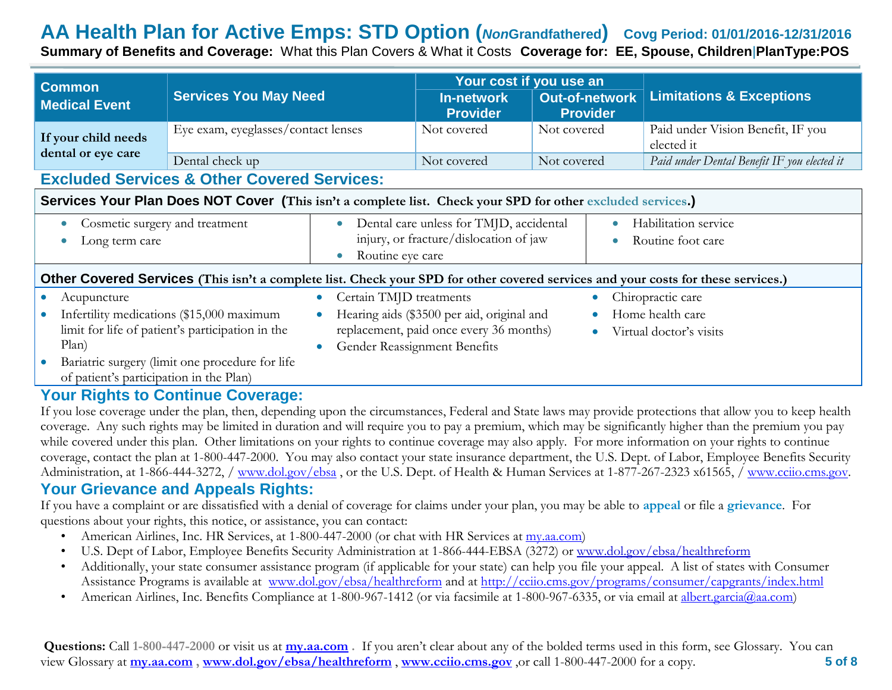| <b>Common</b>                                                                                                                     |                                                                                                             |                                                                                                                                                           | Your cost if you use an                                               | <b>Limitations &amp; Exceptions</b>             |  |
|-----------------------------------------------------------------------------------------------------------------------------------|-------------------------------------------------------------------------------------------------------------|-----------------------------------------------------------------------------------------------------------------------------------------------------------|-----------------------------------------------------------------------|-------------------------------------------------|--|
| <b>Medical Event</b>                                                                                                              | <b>Services You May Need</b>                                                                                | <b>In-network</b><br><b>Provider</b>                                                                                                                      | <b>Out-of-network</b><br><b>Provider</b>                              |                                                 |  |
| If your child needs                                                                                                               | Eye exam, eyeglasses/contact lenses                                                                         | Not covered                                                                                                                                               | Not covered                                                           | Paid under Vision Benefit, IF you<br>elected it |  |
| dental or eye care                                                                                                                | Dental check up                                                                                             | Not covered                                                                                                                                               | Not covered                                                           | Paid under Dental Benefit IF you elected it     |  |
| <b>Excluded Services &amp; Other Covered Services:</b>                                                                            |                                                                                                             |                                                                                                                                                           |                                                                       |                                                 |  |
|                                                                                                                                   | Services Your Plan Does NOT Cover (This isn't a complete list. Check your SPD for other excluded services.) |                                                                                                                                                           |                                                                       |                                                 |  |
| Cosmetic surgery and treatment<br>$\bullet$<br>Long term care                                                                     |                                                                                                             | Dental care unless for TMJD, accidental<br>$\bullet$<br>$\bullet$<br>injury, or fracture/dislocation of jaw<br>$\bullet$<br>Routine eye care<br>$\bullet$ |                                                                       | Habilitation service<br>Routine foot care       |  |
| Other Covered Services (This isn't a complete list. Check your SPD for other covered services and your costs for these services.) |                                                                                                             |                                                                                                                                                           |                                                                       |                                                 |  |
| Acupuncture<br>$\bullet$                                                                                                          | $\bullet$                                                                                                   | Certain TMJD treatments                                                                                                                                   | $\bullet$                                                             | Chiropractic care                               |  |
| Infertility medications (\$15,000 maximum<br>limit for life of patient's participation in the<br>Plan)<br>$\bullet$               |                                                                                                             | Hearing aids (\$3500 per aid, original and<br>replacement, paid once every 36 months)<br>Gender Reassignment Benefits                                     | Home health care<br>$\bullet$<br>Virtual doctor's visits<br>$\bullet$ |                                                 |  |
| of patient's participation in the Plan)                                                                                           | Bariatric surgery (limit one procedure for life                                                             |                                                                                                                                                           |                                                                       |                                                 |  |

#### **Your Rights to Continue Coverage:**

If you lose coverage under the plan, then, depending upon the circumstances, Federal and State laws may provide protections that allow you to keep health coverage. Any such rights may be limited in duration and will require you to pay a premium, which may be significantly higher than the premium you pay while covered under this plan. Other limitations on your rights to continue coverage may also apply. For more information on your rights to continue coverage, contact the plan at 1-800-447-2000. You may also contact your state insurance department, the U.S. Dept. of Labor, Employee Benefits Security Administration, at 1-866-444-3272, / [www.dol.gov/ebsa](http://www.dol.gov/ebsa) , or the U.S. Dept. of Health & Human Services at 1-877-267-2323 x61565, / [www.cciio.cms.gov.](http://www.cciio.cms.gov/)

#### **Your Grievance and Appeals Rights:**

If you have a complaint or are dissatisfied with a denial of coverage for claims under your plan, you may be able to **appeal** or file a **grievance**. For questions about your rights, this notice, or assistance, you can contact:

- American Airlines, Inc. HR Services, at 1-800-447-2000 (or chat with HR Services at my.aa.com)
- U.S. Dept of Labor, Employee Benefits Security Administration at 1-866-444-EBSA (3272) or www.dol.gov/ebsa/healthreform
- Additionally, your state consumer assistance program (if applicable for your state) can help you file your appeal. A list of states with Consumer Assistance Programs is available at [www.dol.gov/ebsa/healthreform](http://www.dol.gov/ebsa/healthreform) and at<http://cciio.cms.gov/programs/consumer/capgrants/index.html>
- American Airlines, Inc. Benefits Compliance at 1-800-967-1412 (or via facsimile at 1-800-967-6335, or via email at [albert.garcia@aa.com\)](mailto:albert.garcia@aa.com)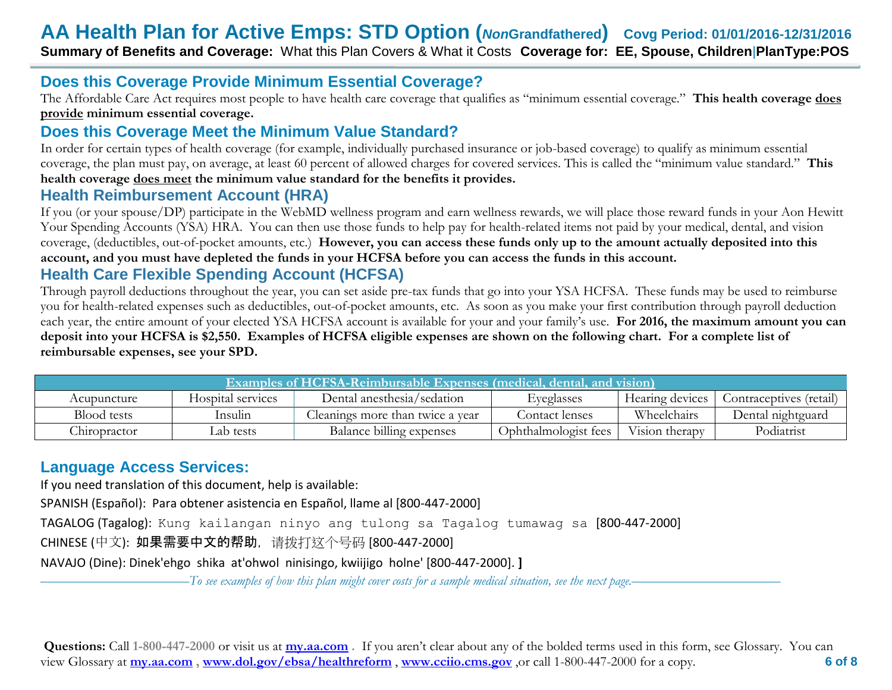## **Does this Coverage Provide Minimum Essential Coverage?**

The Affordable Care Act requires most people to have health care coverage that qualifies as "minimum essential coverage." **This health coverage does provide minimum essential coverage.** 

## **Does this Coverage Meet the Minimum Value Standard?**

In order for certain types of health coverage (for example, individually purchased insurance or job-based coverage) to qualify as minimum essential coverage, the plan must pay, on average, at least 60 percent of allowed charges for covered services. This is called the "minimum value standard." **This health coverage does meet the minimum value standard for the benefits it provides.** 

#### **Health Reimbursement Account (HRA)**

If you (or your spouse/DP) participate in the WebMD wellness program and earn wellness rewards, we will place those reward funds in your Aon Hewitt Your Spending Accounts (YSA) HRA. You can then use those funds to help pay for health-related items not paid by your medical, dental, and vision coverage, (deductibles, out-of-pocket amounts, etc.) **However, you can access these funds only up to the amount actually deposited into this account, and you must have depleted the funds in your HCFSA before you can access the funds in this account.**

#### **Health Care Flexible Spending Account (HCFSA)**

Through payroll deductions throughout the year, you can set aside pre-tax funds that go into your YSA HCFSA. These funds may be used to reimburse you for health-related expenses such as deductibles, out-of-pocket amounts, etc. As soon as you make your first contribution through payroll deduction each year, the entire amount of your elected YSA HCFSA account is available for your and your family's use. **For 2016, the maximum amount you can deposit into your HCFSA is \$2,550. Examples of HCFSA eligible expenses are shown on the following chart. For a complete list of reimbursable expenses, see your SPD.**

| Examples of HCFSA-Reimbursable Expenses (medical, dental, and vision) |                   |                                  |                      |                 |                         |
|-----------------------------------------------------------------------|-------------------|----------------------------------|----------------------|-----------------|-------------------------|
| Acupuncture                                                           | Hospital services | Dental anesthesia/sedation       | Eyeglasses           | Hearing devices | Contraceptives (retail) |
| Blood tests                                                           | Insulin           | Cleanings more than twice a year | Contact lenses       | Wheelchairs     | Dental nightguard       |
| Chiropractor                                                          | Lab tests         | Balance billing expenses         | Ophthalmologist fees | Vision therapy  | Podiatrist              |

# **Language Access Services:**

If you need translation of this document, help is available:

SPANISH (Español): Para obtener asistencia en Español, llame al [800-447-2000]

TAGALOG (Tagalog): Kung kailangan ninyo ang tulong sa Tagalog tumawag sa [800-447-2000]

CHINESE (中文): 如果需要中文的帮助,请拨打这个号码 [800-447-2000]

NAVAJO (Dine): Dinek'ehgo shika at'ohwol ninisingo, kwiijigo holne' [800-447-2000]. **]**

––––––––––––––––––––––*To see examples of how this plan might cover costs for a sample medical situation, see the next page.–––––––––––*–––––––––––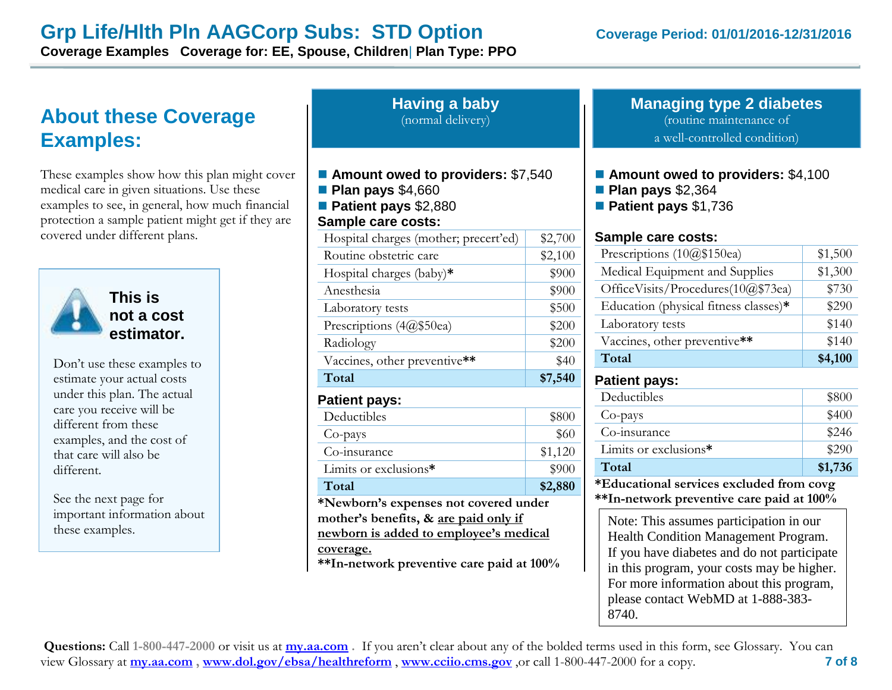# **Grp Life/HIth PIn AAGCorp Subs: STD Option Coverage Period: 01/01/2016-12/31/2016**

**Coverage Examples Coverage for: EE, Spouse, Children**| **Plan Type: PPO**

# **About these Coverage Examples:**

These examples show how this plan might cover medical care in given situations. Use these examples to see, in general, how much financial protection a sample patient might get if they are covered under different plans.



**This is not a cost estimator.** 

Don't use these examples to estimate your actual costs under this plan. The actual care you receive will be different from these examples, and the cost of that care will also be different.

See the next page for important information about

# **Having a baby** (normal delivery) ■ Amount owed to providers: \$7,540 **Plan pays** \$4,660 **Patient pays** \$2,880 **Sample care costs:** Hospital charges (mother; precert'ed)  $\parallel$  \$2,700 Routine obstetric care \$2,100 Hospital charges (baby)<sup>\*</sup> \$900 Anesthesia  $\frac{1}{900}$ Laboratory tests  $\qquad$  \$500 Prescriptions  $(4@$50ea)$  \$200 Radiology \$200 Vaccines, other preventive\*\* **\$40 Total \$7,540 Patient pays:** Deductibles  $$800$  $Co$ -pays  $$60$  $Co\text{-}insurance$   $$1,120$ Limits or exclusions\* \$900

**Total \$2,880 \*Newborn's expenses not covered under mother's benefits, & are paid only if**  mportant information about **newborn is added to employee's medical** Note: This assumes participation in our<br>these examples.<br> **newborn is added to employee's medical** Health Condition Management Program **coverage.**

**\*\*In-network preventive care paid at 100%**

#### **Managing type 2 diabetes** (routine maintenance of a well-controlled condition)

- **Amount owed to providers: \$4,100**
- **Plan pays** \$2,364
- **Patient pays** \$1,736

#### **Sample care costs:**

| Prescriptions (10@\$150ea)            | \$1,500 |
|---------------------------------------|---------|
| Medical Equipment and Supplies        | \$1,300 |
| OfficeVisits/Procedures(10@\$73ea)    | \$730   |
| Education (physical fitness classes)* | \$290   |
| Laboratory tests                      | \$140   |
| Vaccines, other preventive**          | \$140   |
| Total                                 | \$4,100 |

#### **Patient pays:**

| Deductibles           | \$800   |
|-----------------------|---------|
| Co-pays               | \$400   |
| Co-insurance          | \$246   |
| Limits or exclusions* | \$290   |
| Total                 | \$1,736 |
| J π 1<br>.            |         |

**\*Educational services excluded from covg \*\*In-network preventive care paid at 100%**

Health Condition Management Program. If you have diabetes and do not participate in this program, your costs may be higher. For more information about this program, please contact WebMD at 1-888-383- 8740.